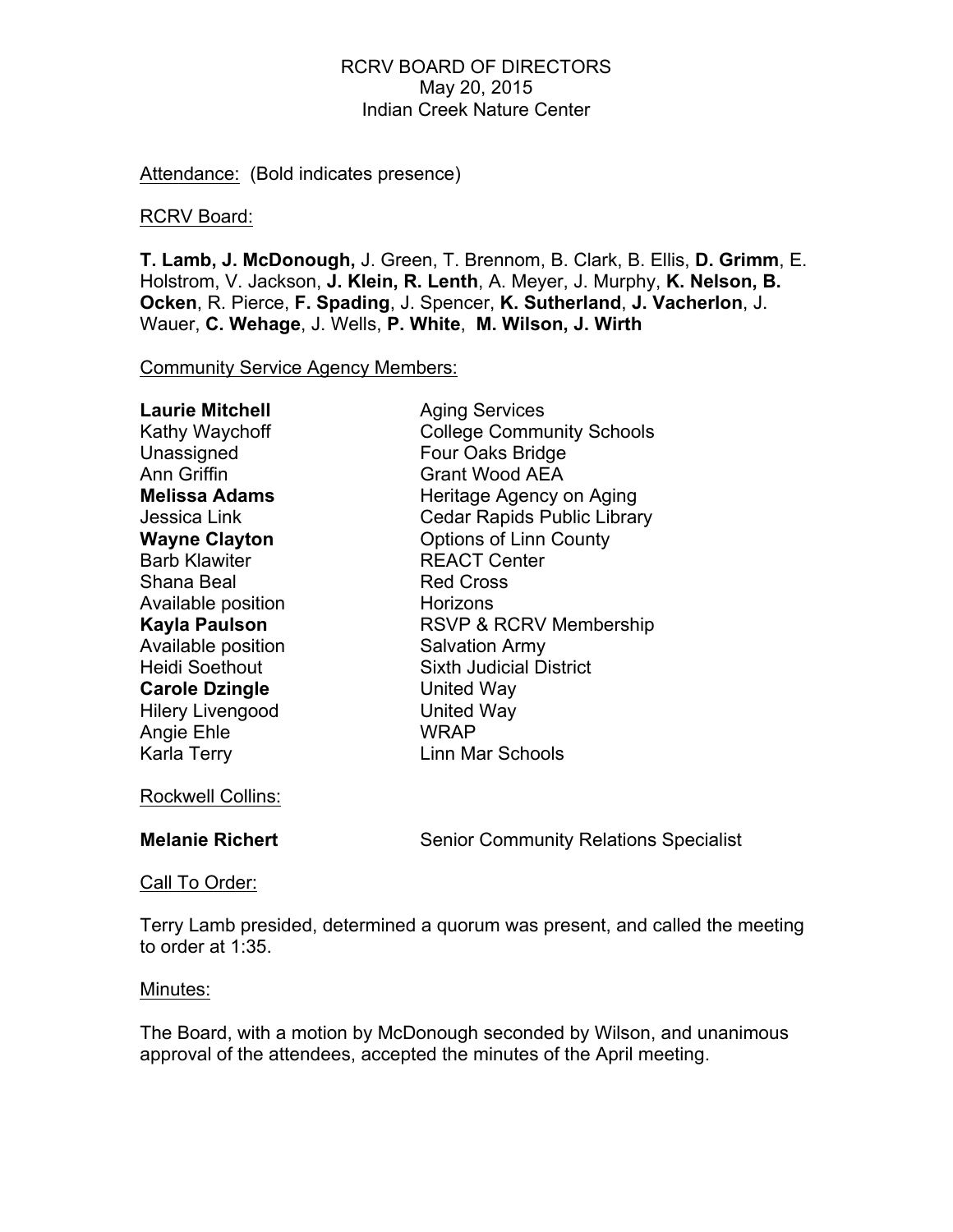### RCRV BOARD OF DIRECTORS May 20, 2015 Indian Creek Nature Center

Attendance: (Bold indicates presence)

#### RCRV Board:

**T. Lamb, J. McDonough,** J. Green, T. Brennom, B. Clark, B. Ellis, **D. Grimm**, E. Holstrom, V. Jackson, **J. Klein, R. Lenth**, A. Meyer, J. Murphy, **K. Nelson, B. Ocken**, R. Pierce, **F. Spading**, J. Spencer, **K. Sutherland**, **J. Vacherlon**, J. Wauer, **C. Wehage**, J. Wells, **P. White**, **M. Wilson, J. Wirth**

Community Service Agency Members:

| <b>Aging Services</b>              |
|------------------------------------|
| <b>College Community Schools</b>   |
| Four Oaks Bridge                   |
| <b>Grant Wood AEA</b>              |
| Heritage Agency on Aging           |
| <b>Cedar Rapids Public Library</b> |
| <b>Options of Linn County</b>      |
| <b>REACT Center</b>                |
| <b>Red Cross</b>                   |
| Horizons                           |
| RSVP & RCRV Membership             |
| <b>Salvation Army</b>              |
| <b>Sixth Judicial District</b>     |
| United Way                         |
| <b>United Way</b>                  |
| <b>WRAP</b>                        |
| Linn Mar Schools                   |
|                                    |

Rockwell Collins:

**Melanie Richert** Senior Community Relations Specialist

Call To Order:

Terry Lamb presided, determined a quorum was present, and called the meeting to order at 1:35.

#### Minutes:

The Board, with a motion by McDonough seconded by Wilson, and unanimous approval of the attendees, accepted the minutes of the April meeting.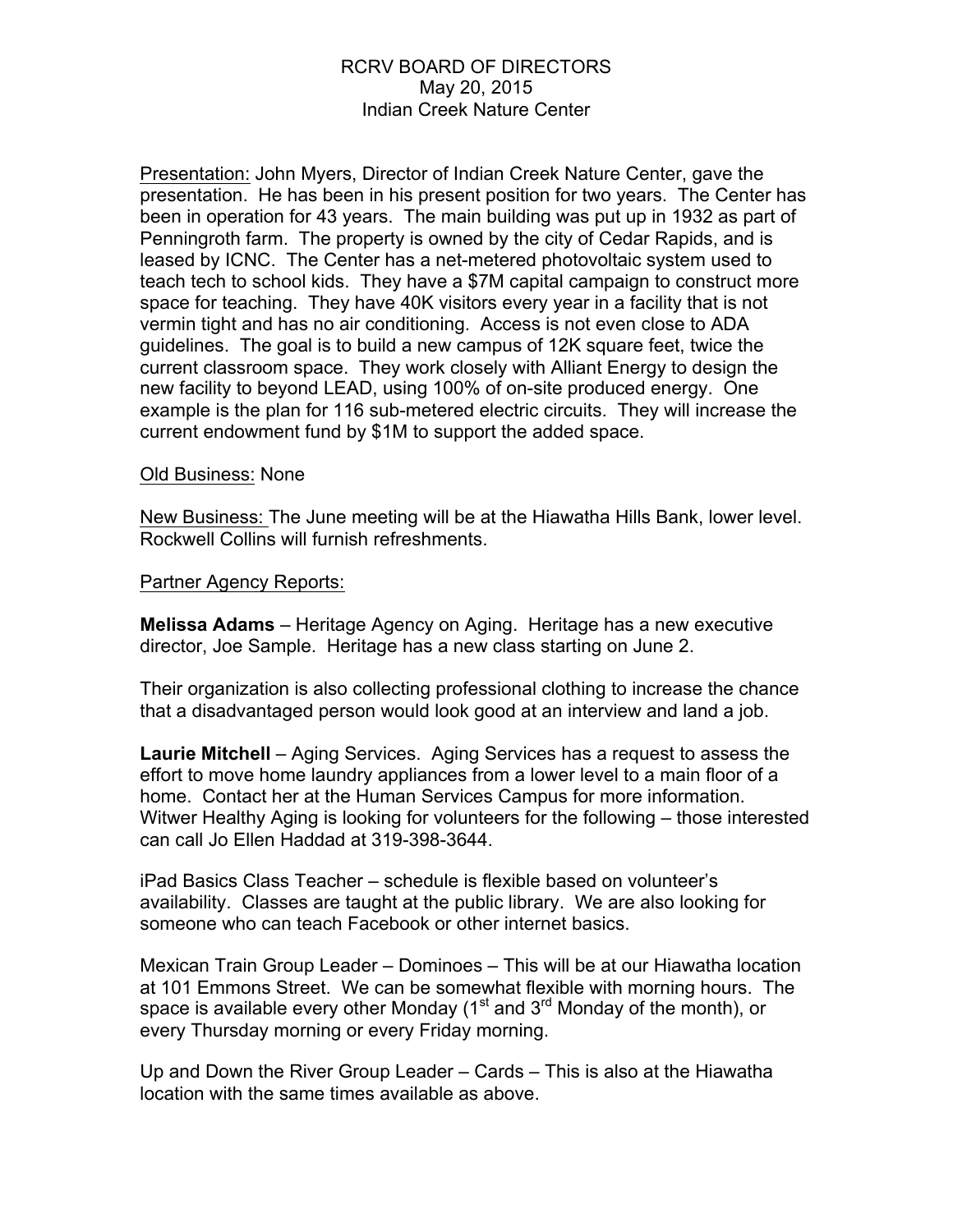### RCRV BOARD OF DIRECTORS May 20, 2015 Indian Creek Nature Center

Presentation: John Myers, Director of Indian Creek Nature Center, gave the presentation. He has been in his present position for two years. The Center has been in operation for 43 years. The main building was put up in 1932 as part of Penningroth farm. The property is owned by the city of Cedar Rapids, and is leased by ICNC. The Center has a net-metered photovoltaic system used to teach tech to school kids. They have a \$7M capital campaign to construct more space for teaching. They have 40K visitors every year in a facility that is not vermin tight and has no air conditioning. Access is not even close to ADA guidelines. The goal is to build a new campus of 12K square feet, twice the current classroom space. They work closely with Alliant Energy to design the new facility to beyond LEAD, using 100% of on-site produced energy. One example is the plan for 116 sub-metered electric circuits. They will increase the current endowment fund by \$1M to support the added space.

#### Old Business: None

New Business: The June meeting will be at the Hiawatha Hills Bank, lower level. Rockwell Collins will furnish refreshments.

#### Partner Agency Reports:

**Melissa Adams** – Heritage Agency on Aging. Heritage has a new executive director, Joe Sample. Heritage has a new class starting on June 2.

Their organization is also collecting professional clothing to increase the chance that a disadvantaged person would look good at an interview and land a job.

**Laurie Mitchell** – Aging Services. Aging Services has a request to assess the effort to move home laundry appliances from a lower level to a main floor of a home. Contact her at the Human Services Campus for more information. Witwer Healthy Aging is looking for volunteers for the following – those interested can call Jo Ellen Haddad at 319-398-3644.

iPad Basics Class Teacher – schedule is flexible based on volunteer's availability. Classes are taught at the public library. We are also looking for someone who can teach Facebook or other internet basics.

Mexican Train Group Leader – Dominoes – This will be at our Hiawatha location at 101 Emmons Street. We can be somewhat flexible with morning hours. The space is available every other Monday ( $1<sup>st</sup>$  and  $3<sup>rd</sup>$  Monday of the month), or every Thursday morning or every Friday morning.

Up and Down the River Group Leader – Cards – This is also at the Hiawatha location with the same times available as above.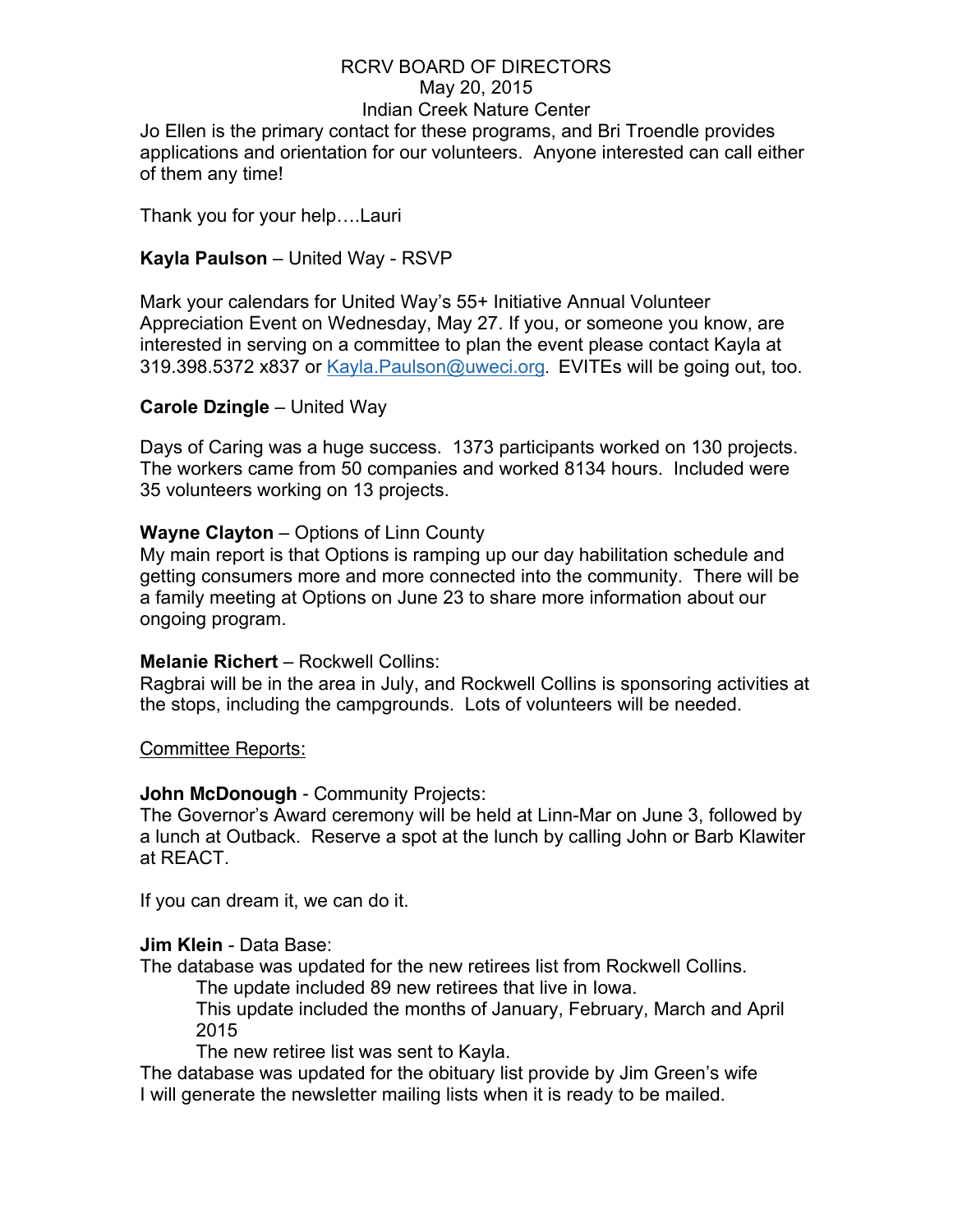# RCRV BOARD OF DIRECTORS May 20, 2015 Indian Creek Nature Center

Jo Ellen is the primary contact for these programs, and Bri Troendle provides applications and orientation for our volunteers. Anyone interested can call either of them any time!

Thank you for your help….Lauri

### **Kayla Paulson** – United Way - RSVP

Mark your calendars for United Way's 55+ Initiative Annual Volunteer Appreciation Event on Wednesday, May 27. If you, or someone you know, are interested in serving on a committee to plan the event please contact Kayla at 319.398.5372 x837 or Kayla.Paulson@uweci.org. EVITEs will be going out, too.

### **Carole Dzingle** – United Way

Days of Caring was a huge success. 1373 participants worked on 130 projects. The workers came from 50 companies and worked 8134 hours. Included were 35 volunteers working on 13 projects.

### **Wayne Clayton** – Options of Linn County

My main report is that Options is ramping up our day habilitation schedule and getting consumers more and more connected into the community. There will be a family meeting at Options on June 23 to share more information about our ongoing program.

#### **Melanie Richert** – Rockwell Collins:

Ragbrai will be in the area in July, and Rockwell Collins is sponsoring activities at the stops, including the campgrounds. Lots of volunteers will be needed.

Committee Reports:

### **John McDonough** - Community Projects:

The Governor's Award ceremony will be held at Linn-Mar on June 3, followed by a lunch at Outback. Reserve a spot at the lunch by calling John or Barb Klawiter at REACT.

If you can dream it, we can do it.

### **Jim Klein** - Data Base:

The database was updated for the new retirees list from Rockwell Collins.

The update included 89 new retirees that live in Iowa.

This update included the months of January, February, March and April 2015

The new retiree list was sent to Kayla.

The database was updated for the obituary list provide by Jim Green's wife I will generate the newsletter mailing lists when it is ready to be mailed.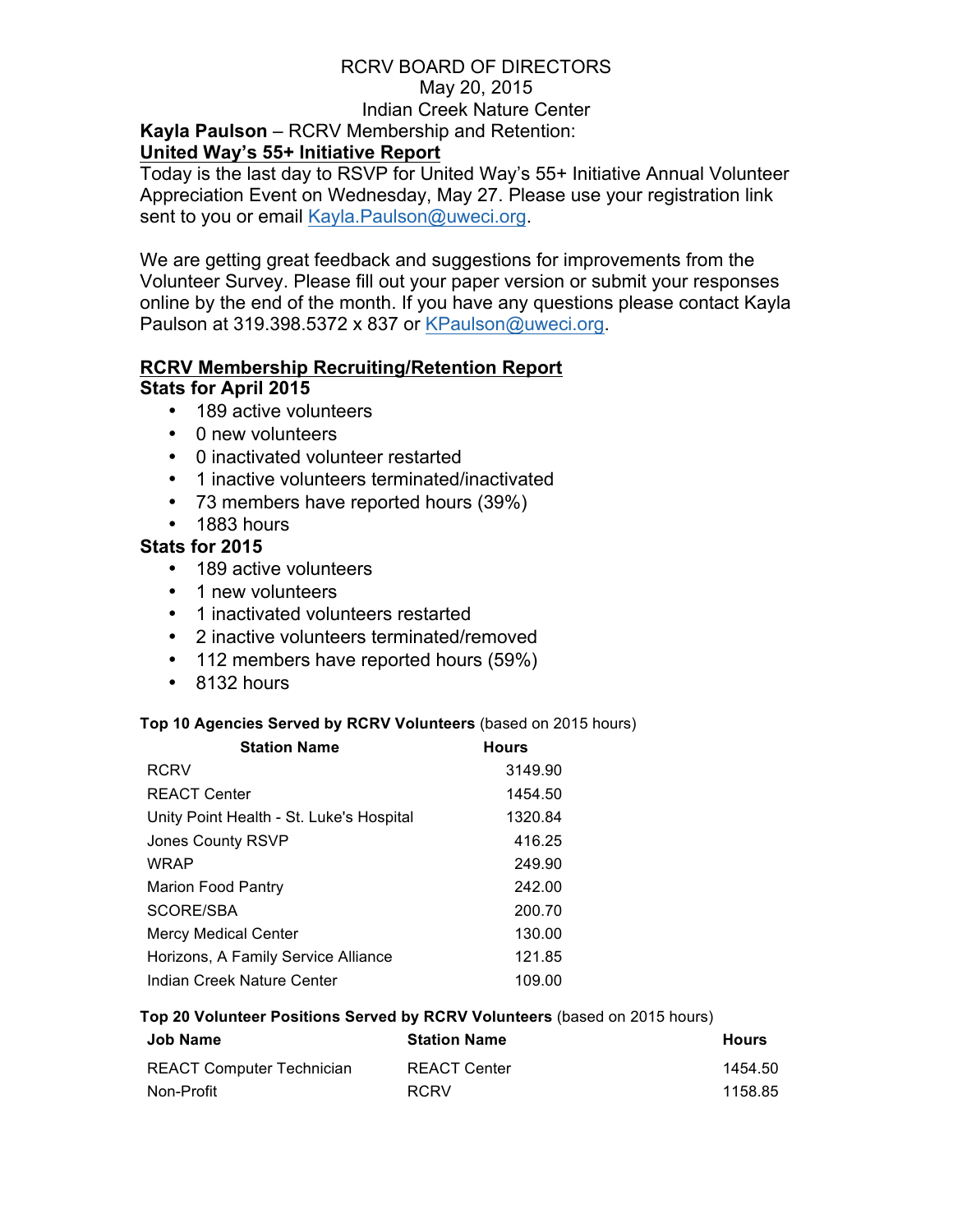### RCRV BOARD OF DIRECTORS May 20, 2015 Indian Creek Nature Center **Kayla Paulson** – RCRV Membership and Retention: **United Way's 55+ Initiative Report**

Today is the last day to RSVP for United Way's 55+ Initiative Annual Volunteer Appreciation Event on Wednesday, May 27. Please use your registration link sent to you or email Kayla.Paulson@uweci.org.

We are getting great feedback and suggestions for improvements from the Volunteer Survey. Please fill out your paper version or submit your responses online by the end of the month. If you have any questions please contact Kayla Paulson at 319.398.5372 x 837 or KPaulson@uweci.org.

#### **RCRV Membership Recruiting/Retention Report Stats for April 2015**

- 189 active volunteers
- 0 new volunteers
- 0 inactivated volunteer restarted
- 1 inactive volunteers terminated/inactivated
- 73 members have reported hours (39%)
- 1883 hours

## **Stats for 2015**

- 189 active volunteers
- 1 new volunteers
- 1 inactivated volunteers restarted
- 2 inactive volunteers terminated/removed
- 112 members have reported hours (59%)
- 8132 hours

### **Top 10 Agencies Served by RCRV Volunteers** (based on 2015 hours)

| <b>Station Name</b>                      | <b>Hours</b> |
|------------------------------------------|--------------|
| <b>RCRV</b>                              | 3149.90      |
| <b>REACT Center</b>                      | 1454.50      |
| Unity Point Health - St. Luke's Hospital | 1320.84      |
| Jones County RSVP                        | 416.25       |
| <b>WRAP</b>                              | 249.90       |
| <b>Marion Food Pantry</b>                | 242.00       |
| SCORE/SBA                                | 200.70       |
| Mercy Medical Center                     | 130.00       |
| Horizons, A Family Service Alliance      | 121.85       |
| Indian Creek Nature Center               | 109.00       |

#### **Top 20 Volunteer Positions Served by RCRV Volunteers** (based on 2015 hours)

| Job Name                         | <b>Station Name</b> | <b>Hours</b> |
|----------------------------------|---------------------|--------------|
| <b>REACT Computer Technician</b> | <b>REACT Center</b> | 1454.50      |
| Non-Profit                       | <b>RCRV</b>         | 1158.85      |